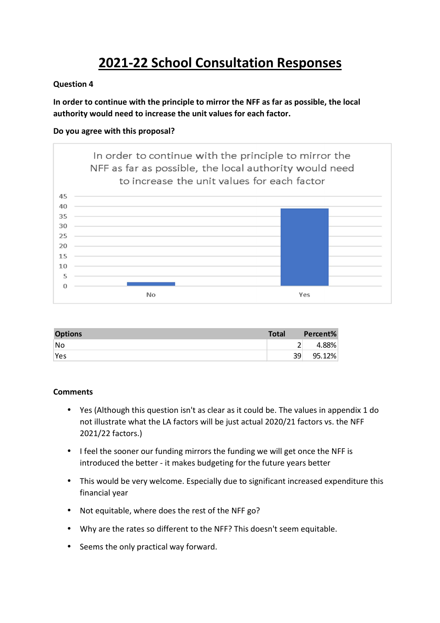# **2021-22 School Consultation Responses**

#### **Question 4**

**In order to continue with the principle to mirror the NFF as far as possible, the local authority would need to increase the unit values for each factor.** 

#### **Do you agree with this proposal?**



| <b>Options</b> | <b>Total</b> | Percent% |
|----------------|--------------|----------|
| No             |              | 4.88%    |
| Yes            | 39           | 95.12%   |

#### **Comments**

- Yes (Although this question isn't as clear as it could be. The values in appendix 1 do not illustrate what the LA factors will be just actual 2020/21 factors vs. the NFF 2021/22 factors.)
- I feel the sooner our funding mirrors the funding we will get once the NFF is introduced the better - it makes budgeting for the future years better
- This would be very welcome. Especially due to significant increased expenditure this financial year
- Not equitable, where does the rest of the NFF go?
- Why are the rates so different to the NFF? This doesn't seem equitable.
- Seems the only practical way forward.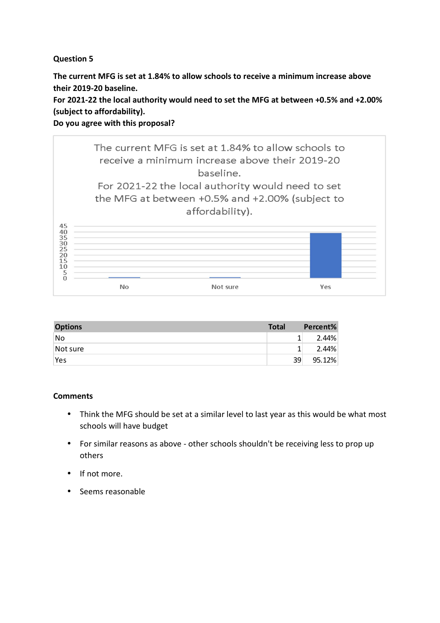## **Question 5**

**The current MFG is set at 1.84% to allow schools to receive a minimum increase above their 2019-20 baseline.** 

**For 2021-22 the local authority would need to set the MFG at between +0.5% and +2.00% (subject to affordability).** 

**Do you agree with this proposal?** 



| <b>Options</b> | <b>Total</b> | Percent% |
|----------------|--------------|----------|
| No.            |              | 2.44%    |
| Not sure       |              | 2.44%    |
| Yes            | 39           | 95.12%   |

### **Comments**

- Think the MFG should be set at a similar level to last year as this would be what most schools will have budget
- For similar reasons as above other schools shouldn't be receiving less to prop up others
- If not more.
- Seems reasonable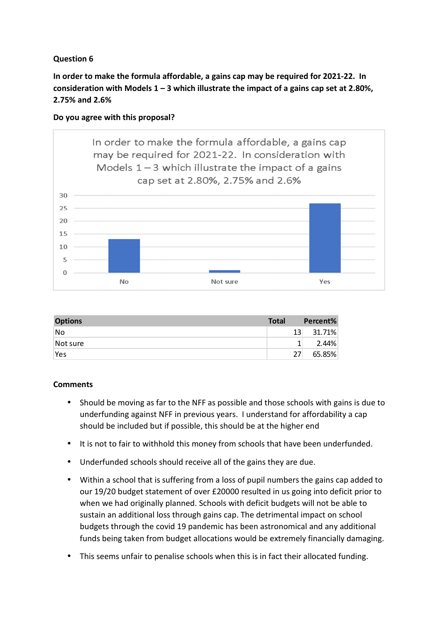# **Question 6**

**In order to make the formula affordable, a gains cap may be required for 2021-22. In consideration with Models 1 – 3 which illustrate the impact of a gains cap set at 2.80%, 2.75% and 2.6%** 





| <b>Options</b> | <b>Total</b> | Percent% |
|----------------|--------------|----------|
| No             | 13           | 31.71%   |
| Not sure       |              | 2.44%    |
| Yes            | 27           | 65.85%   |

### **Comments**

- Should be moving as far to the NFF as possible and those schools with gains is due to underfunding against NFF in previous years. I understand for affordability a cap should be included but if possible, this should be at the higher end
- It is not to fair to withhold this money from schools that have been underfunded.
- Underfunded schools should receive all of the gains they are due.
- Within a school that is suffering from a loss of pupil numbers the gains cap added to our 19/20 budget statement of over £20000 resulted in us going into deficit prior to when we had originally planned. Schools with deficit budgets will not be able to sustain an additional loss through gains cap. The detrimental impact on school budgets through the covid 19 pandemic has been astronomical and any additional funds being taken from budget allocations would be extremely financially damaging.
- This seems unfair to penalise schools when this is in fact their allocated funding.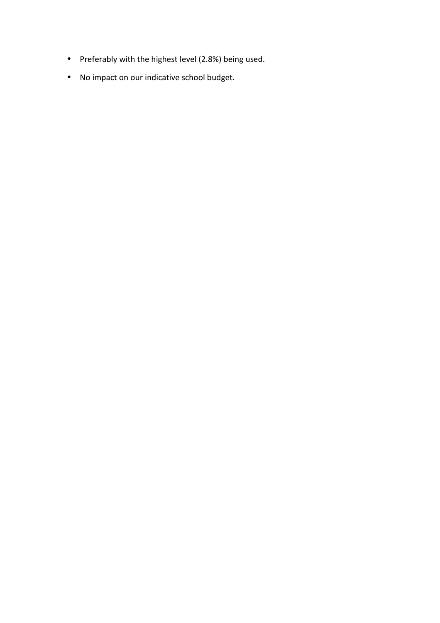- Preferably with the highest level (2.8%) being used.
- No impact on our indicative school budget.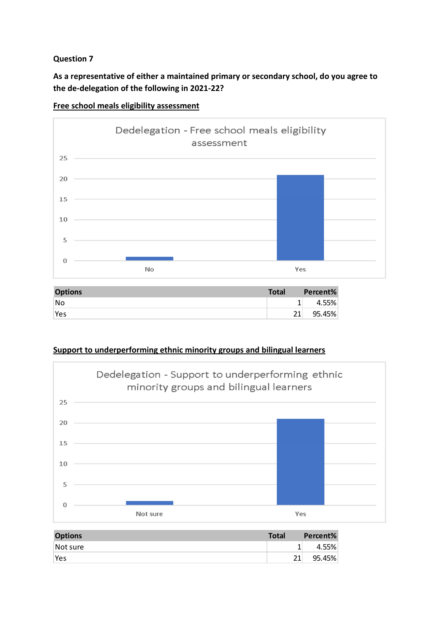# **Question 7**

# **As a representative of either a maintained primary or secondary school, do you agree to the de-delegation of the following in 2021-22?**



**Free school meals eligibility assessment** 

| <b>Options</b> | <b>Total</b> | Percent% |
|----------------|--------------|----------|
| No.            |              | 4.55%    |
| Yes            | าง           | 95.45%   |

### **Support to underperforming ethnic minority groups and bilingual learners**



| <b>Options</b> | <b>Total</b> | Percent% |
|----------------|--------------|----------|
| Not sure       |              | 4.55%    |
| Yes            |              | 95.45%   |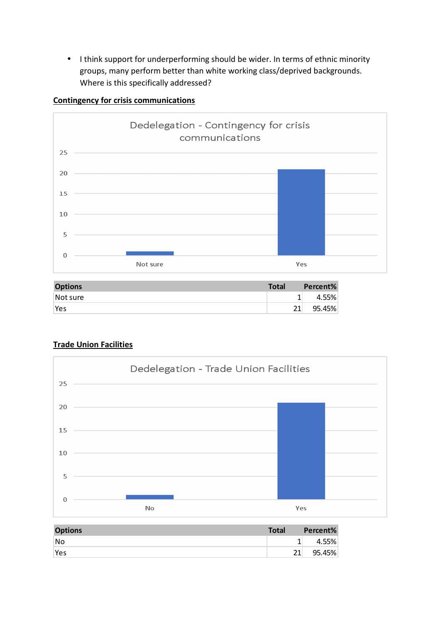• I think support for underperforming should be wider. In terms of ethnic minority groups, many perform better than white working class/deprived backgrounds. Where is this specifically addressed?



#### **Contingency for crisis communications**

| <b>Options</b> | <b>Total</b> | Percent% |
|----------------|--------------|----------|
| Not sure       |              | 4.55%    |
| Yes            |              | 95.45%   |

### **Trade Union Facilities**



| <b>Options</b> | <b>Total</b> | Percent% |
|----------------|--------------|----------|
| No.            |              | 4.55%    |
| Yes            |              | 95.45%   |